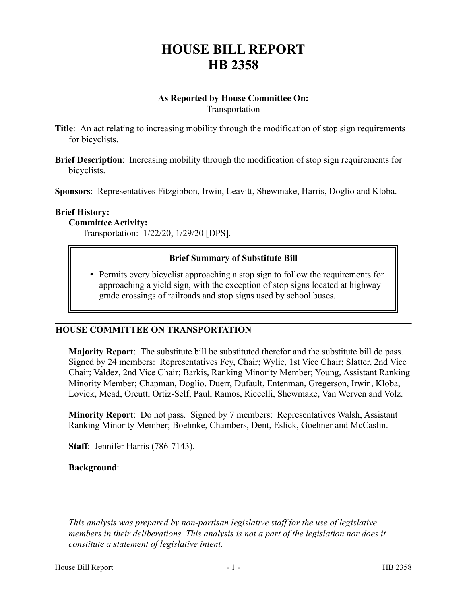# **HOUSE BILL REPORT HB 2358**

# **As Reported by House Committee On:** Transportation

- **Title**: An act relating to increasing mobility through the modification of stop sign requirements for bicyclists.
- **Brief Description**: Increasing mobility through the modification of stop sign requirements for bicyclists.

**Sponsors**: Representatives Fitzgibbon, Irwin, Leavitt, Shewmake, Harris, Doglio and Kloba.

# **Brief History:**

# **Committee Activity:**

Transportation: 1/22/20, 1/29/20 [DPS].

# **Brief Summary of Substitute Bill**

 Permits every bicyclist approaching a stop sign to follow the requirements for approaching a yield sign, with the exception of stop signs located at highway grade crossings of railroads and stop signs used by school buses.

# **HOUSE COMMITTEE ON TRANSPORTATION**

**Majority Report**: The substitute bill be substituted therefor and the substitute bill do pass. Signed by 24 members: Representatives Fey, Chair; Wylie, 1st Vice Chair; Slatter, 2nd Vice Chair; Valdez, 2nd Vice Chair; Barkis, Ranking Minority Member; Young, Assistant Ranking Minority Member; Chapman, Doglio, Duerr, Dufault, Entenman, Gregerson, Irwin, Kloba, Lovick, Mead, Orcutt, Ortiz-Self, Paul, Ramos, Riccelli, Shewmake, Van Werven and Volz.

**Minority Report**: Do not pass. Signed by 7 members: Representatives Walsh, Assistant Ranking Minority Member; Boehnke, Chambers, Dent, Eslick, Goehner and McCaslin.

**Staff**: Jennifer Harris (786-7143).

**Background**:

––––––––––––––––––––––

*This analysis was prepared by non-partisan legislative staff for the use of legislative members in their deliberations. This analysis is not a part of the legislation nor does it constitute a statement of legislative intent.*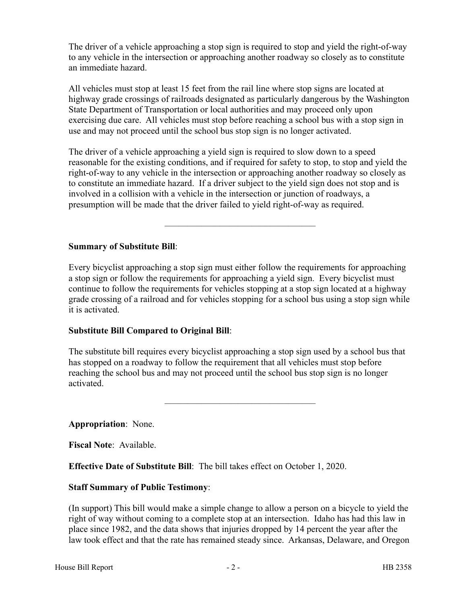The driver of a vehicle approaching a stop sign is required to stop and yield the right-of-way to any vehicle in the intersection or approaching another roadway so closely as to constitute an immediate hazard.

All vehicles must stop at least 15 feet from the rail line where stop signs are located at highway grade crossings of railroads designated as particularly dangerous by the Washington State Department of Transportation or local authorities and may proceed only upon exercising due care. All vehicles must stop before reaching a school bus with a stop sign in use and may not proceed until the school bus stop sign is no longer activated.

The driver of a vehicle approaching a yield sign is required to slow down to a speed reasonable for the existing conditions, and if required for safety to stop, to stop and yield the right-of-way to any vehicle in the intersection or approaching another roadway so closely as to constitute an immediate hazard. If a driver subject to the yield sign does not stop and is involved in a collision with a vehicle in the intersection or junction of roadways, a presumption will be made that the driver failed to yield right-of-way as required.

–––––––––––––––––––––––––––––––––

# **Summary of Substitute Bill**:

Every bicyclist approaching a stop sign must either follow the requirements for approaching a stop sign or follow the requirements for approaching a yield sign. Every bicyclist must continue to follow the requirements for vehicles stopping at a stop sign located at a highway grade crossing of a railroad and for vehicles stopping for a school bus using a stop sign while it is activated.

#### **Substitute Bill Compared to Original Bill**:

The substitute bill requires every bicyclist approaching a stop sign used by a school bus that has stopped on a roadway to follow the requirement that all vehicles must stop before reaching the school bus and may not proceed until the school bus stop sign is no longer activated.

–––––––––––––––––––––––––––––––––

**Appropriation**: None.

**Fiscal Note**: Available.

**Effective Date of Substitute Bill**: The bill takes effect on October 1, 2020.

#### **Staff Summary of Public Testimony**:

(In support) This bill would make a simple change to allow a person on a bicycle to yield the right of way without coming to a complete stop at an intersection. Idaho has had this law in place since 1982, and the data shows that injuries dropped by 14 percent the year after the law took effect and that the rate has remained steady since. Arkansas, Delaware, and Oregon